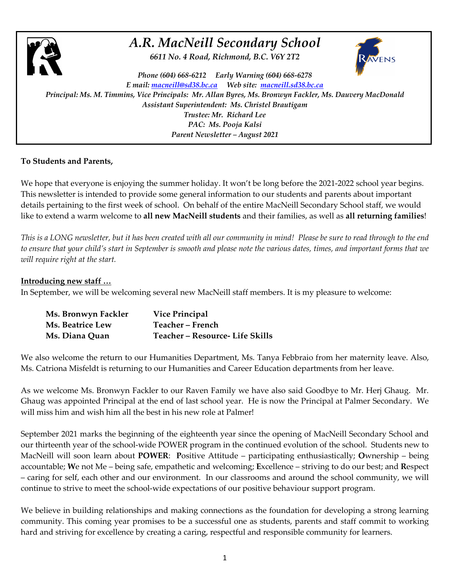

## *A.R. MacNeill Secondary School*

*6611 No. 4 Road, Richmond, B.C. V6Y 2T2*



*Phone (604) 668-6212 Early Warning (604) 668-6278 E mail: macneill@sd38.bc.ca Web site: macneill.sd38.bc.ca Principal: Ms. M. Timmins, Vice Principals: Mr. Allan Byres, Ms. Bronwyn Fackler, Ms. Dauvery MacDonald Assistant Superintendent: Ms. Christel Brautigam Trustee: Mr. Richard Lee PAC: Ms. Pooja Kalsi Parent Newsletter – August 2021*

## **To Students and Parents,**

We hope that everyone is enjoying the summer holiday. It won't be long before the 2021-2022 school year begins. This newsletter is intended to provide some general information to our students and parents about important details pertaining to the first week of school. On behalf of the entire MacNeill Secondary School staff, we would like to extend a warm welcome to **all new MacNeill students** and their families, as well as **all returning families**!

*This is a LONG newsletter, but it has been created with all our community in mind! Please be sure to read through to the end to ensure that your child's start in September is smooth and please note the various dates, times, and important forms that we will require right at the start.*

## **Introducing new staff …**

In September, we will be welcoming several new MacNeill staff members. It is my pleasure to welcome:

| Ms. Bronwyn Fackler | <b>Vice Principal</b>           |
|---------------------|---------------------------------|
| Ms. Beatrice Lew    | Teacher – French                |
| Ms. Diana Quan      | Teacher - Resource- Life Skills |

We also welcome the return to our Humanities Department, Ms. Tanya Febbraio from her maternity leave. Also, Ms. Catriona Misfeldt is returning to our Humanities and Career Education departments from her leave.

As we welcome Ms. Bronwyn Fackler to our Raven Family we have also said Goodbye to Mr. Herj Ghaug. Mr. Ghaug was appointed Principal at the end of last school year. He is now the Principal at Palmer Secondary. We will miss him and wish him all the best in his new role at Palmer!

September 2021 marks the beginning of the eighteenth year since the opening of MacNeill Secondary School and our thirteenth year of the school-wide POWER program in the continued evolution of the school. Students new to MacNeill will soon learn about **POWER**: **P**ositive Attitude – participating enthusiastically; **O**wnership – being accountable; **W**e not Me – being safe, empathetic and welcoming; **E**xcellence – striving to do our best; and **R**espect – caring for self, each other and our environment. In our classrooms and around the school community, we will continue to strive to meet the school-wide expectations of our positive behaviour support program.

We believe in building relationships and making connections as the foundation for developing a strong learning community. This coming year promises to be a successful one as students, parents and staff commit to working hard and striving for excellence by creating a caring, respectful and responsible community for learners.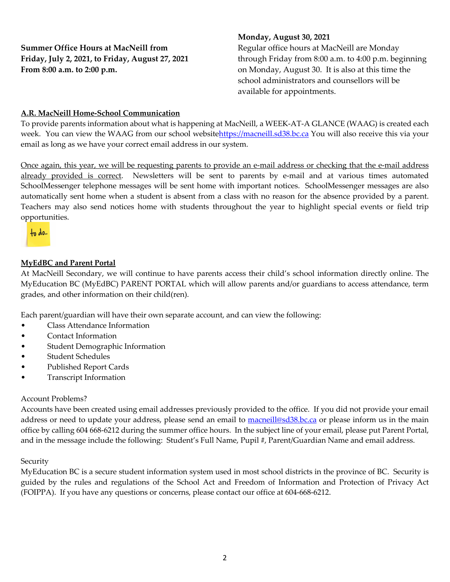**Summer Office Hours at MacNeill from Friday, July 2, 2021, to Friday, August 27, 2021 From 8:00 a.m. to 2:00 p.m.** 

### **Monday, August 30, 2021**

Regular office hours at MacNeill are Monday through Friday from 8:00 a.m. to 4:00 p.m. beginning on Monday, August 30. It is also at this time the school administrators and counsellors will be available for appointments.

### **A.R. MacNeill Home-School Communication**

To provide parents information about what is happening at MacNeill, a WEEK-AT-A GLANCE (WAAG) is created each week. You can view the WAAG from our school websitehttps://macneill.sd38.bc.ca You will also receive this via your email as long as we have your correct email address in our system.

Once again, this year, we will be requesting parents to provide an e-mail address or checking that the e-mail address already provided is correct. Newsletters will be sent to parents by e-mail and at various times automated SchoolMessenger telephone messages will be sent home with important notices. SchoolMessenger messages are also automatically sent home when a student is absent from a class with no reason for the absence provided by a parent. Teachers may also send notices home with students throughout the year to highlight special events or field trip opportunities.

 $+$ <sub>0</sub>  $\lambda$ <sub>0</sub>...

### **MyEdBC and Parent Portal**

At MacNeill Secondary, we will continue to have parents access their child's school information directly online. The MyEducation BC (MyEdBC) PARENT PORTAL which will allow parents and/or guardians to access attendance, term grades, and other information on their child(ren).

Each parent/guardian will have their own separate account, and can view the following:

- Class Attendance Information
- Contact Information
- Student Demographic Information
- Student Schedules
- Published Report Cards
- Transcript Information

### Account Problems?

Accounts have been created using email addresses previously provided to the office. If you did not provide your email address or need to update your address, please send an email to **macneill@sd38.bc.ca** or please inform us in the main office by calling 604 668-6212 during the summer office hours. In the subject line of your email, please put Parent Portal, and in the message include the following: Student's Full Name, Pupil #, Parent/Guardian Name and email address.

### **Security**

MyEducation BC is a secure student information system used in most school districts in the province of BC. Security is guided by the rules and regulations of the School Act and Freedom of Information and Protection of Privacy Act (FOIPPA). If you have any questions or concerns, please contact our office at 604-668-6212.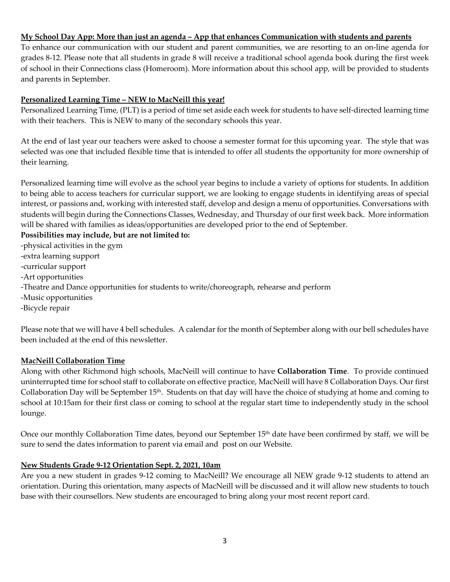### **My School Day App: More than just an agenda – App that enhances Communication with students and parents**

To enhance our communication with our student and parent communities, we are resorting to an on-line agenda for grades 8-12. Please note that all students in grade 8 will receive a traditional school agenda book during the first week of school in their Connections class (Homeroom). More information about this school app, will be provided to students and parents in September.

### **Personalized Learning Time – NEW to MacNeill this year!**

Personalized Learning Time, (PLT) is a period of time set aside each week for students to have self-directed learning time with their teachers. This is NEW to many of the secondary schools this year.

At the end of last year our teachers were asked to choose a semester format for this upcoming year. The style that was selected was one that included flexible time that is intended to offer all students the opportunity for more ownership of their learning.

Personalized learning time will evolve as the school year begins to include a variety of options for students. In addition to being able to access teachers for curricular support, we are looking to engage students in identifying areas of special interest, or passions and, working with interested staff, develop and design a menu of opportunities. Conversations with students will begin during the Connections Classes, Wednesday, and Thursday of our first week back. More information will be shared with families as ideas/opportunities are developed prior to the end of September.

**Possibilities may include, but are not limited to:**

- -physical activities in the gym
- -extra learning support
- -curricular support
- -Art opportunities
- -Theatre and Dance opportunities for students to write/choreograph, rehearse and perform
- -Music opportunities
- -Bicycle repair

Please note that we will have 4 bell schedules. A calendar for the month of September along with our bell schedules have been included at the end of this newsletter.

### **MacNeill Collaboration Time**

Along with other Richmond high schools, MacNeill will continue to have **Collaboration Time**. To provide continued uninterrupted time for school staff to collaborate on effective practice, MacNeill will have 8 Collaboration Days. Our first Collaboration Day will be September  $15<sup>th</sup>$ . Students on that day will have the choice of studying at home and coming to school at 10:15am for their first class or coming to school at the regular start time to independently study in the school lounge.

Once our monthly Collaboration Time dates, beyond our September 15<sup>th</sup> date have been confirmed by staff, we will be sure to send the dates information to parent via email and post on our Website.

### **New Students Grade 9-12 Orientation Sept. 2, 2021, 10am**

Are you a new student in grades 9-12 coming to MacNeill? We encourage all NEW grade 9-12 students to attend an orientation. During this orientation, many aspects of MacNeill will be discussed and it will allow new students to touch base with their counsellors. New students are encouraged to bring along your most recent report card.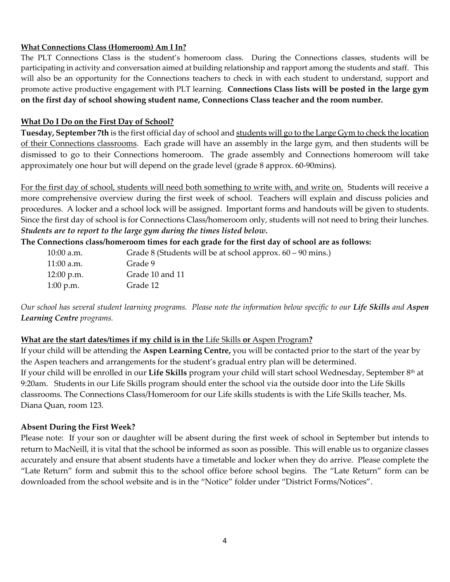### **What Connections Class (Homeroom) Am I In?**

The PLT Connections Class is the student's homeroom class. During the Connections classes, students will be participating in activity and conversation aimed at building relationship and rapport among the students and staff. This will also be an opportunity for the Connections teachers to check in with each student to understand, support and promote active productive engagement with PLT learning. **Connections Class lists will be posted in the large gym on the first day of school showing student name, Connections Class teacher and the room number.**

### **What Do I Do on the First Day of School?**

**Tuesday, September 7th** is the first official day of school and students will go to the Large Gym to check the location of their Connections classrooms. Each grade will have an assembly in the large gym, and then students will be dismissed to go to their Connections homeroom. The grade assembly and Connections homeroom will take approximately one hour but will depend on the grade level (grade 8 approx. 60-90mins).

For the first day of school, students will need both something to write with, and write on. Students will receive a more comprehensive overview during the first week of school. Teachers will explain and discuss policies and procedures. A locker and a school lock will be assigned. Important forms and handouts will be given to students. Since the first day of school is for Connections Class/homeroom only, students will not need to bring their lunches. *Students are to report to the large gym during the times listed below.*

**The Connections class/homeroom times for each grade for the first day of school are as follows:**

| $10:00$ a.m. | Grade 8 (Students will be at school approx. $60 - 90$ mins.) |
|--------------|--------------------------------------------------------------|
| $11:00$ a.m. | Grade 9                                                      |
| $12:00$ p.m. | Grade 10 and 11                                              |
| $1:00$ p.m.  | Grade 12                                                     |

*Our school has several student learning programs. Please note the information below specific to our Life Skills and Aspen Learning Centre programs.*

## **What are the start dates/times if my child is in the** Life Skills **or** Aspen Program**?**

If your child will be attending the **Aspen Learning Centre,** you will be contacted prior to the start of the year by the Aspen teachers and arrangements for the student's gradual entry plan will be determined. If your child will be enrolled in our **Life Skills** program your child will start school Wednesday, September 8th at 9:20am. Students in our Life Skills program should enter the school via the outside door into the Life Skills classrooms. The Connections Class/Homeroom for our Life skills students is with the Life Skills teacher, Ms. Diana Quan, room 123.

## **Absent During the First Week?**

Please note: If your son or daughter will be absent during the first week of school in September but intends to return to MacNeill, it is vital that the school be informed as soon as possible. This will enable us to organize classes accurately and ensure that absent students have a timetable and locker when they do arrive. Please complete the "Late Return" form and submit this to the school office before school begins. The "Late Return" form can be downloaded from the school website and is in the "Notice" folder under "District Forms/Notices".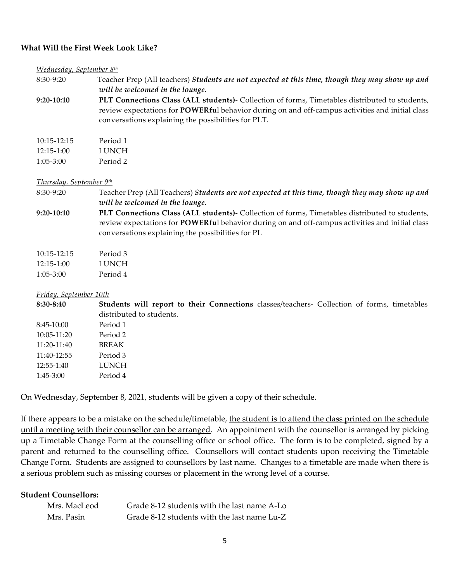### **What Will the First Week Look Like?**

### *Wednesday, September 8th*

8:30-9:20 Teacher Prep (All teachers) *Students are not expected at this time, though they may show up and will be welcomed in the lounge.*

**9:20-10:10 PLT Connections Class (ALL students)**- Collection of forms, Timetables distributed to students, review expectations for **POWERfu**l behavior during on and off-campus activities and initial class conversations explaining the possibilities for PLT.

| 10:15-12:15 | Period 1 |
|-------------|----------|
| 12:15-1:00  | LUNCH    |
| 1:05-3:00   | Period 2 |

### *Thursday, September 9th*

8:30-9:20 Teacher Prep (All Teachers) *Students are not expected at this time, though they may show up and will be welcomed in the lounge.*

**9:20-10:10 PLT Connections Class (ALL students)**- Collection of forms, Timetables distributed to students, review expectations for **POWERfu**l behavior during on and off-campus activities and initial class conversations explaining the possibilities for PL

| 10:15-12:15 | Period 3 |
|-------------|----------|
| 12:15-1:00  | LUNCH    |
| 1:05-3:00   | Period 4 |

### *Friday, September 10th*

**8:30-8:40 Students will report to their Connections** classes/teachers- Collection of forms, timetables distributed to students. 8:45-10:00 Period 1 10:05-11:20 Period 2 11:20-11:40 BREAK 11:40-12:55 Period 3 12:55-1:40 LUNCH 1:45-3:00 Period 4

On Wednesday, September 8, 2021, students will be given a copy of their schedule.

If there appears to be a mistake on the schedule/timetable, the student is to attend the class printed on the schedule until a meeting with their counsellor can be arranged. An appointment with the counsellor is arranged by picking up a Timetable Change Form at the counselling office or school office. The form is to be completed, signed by a parent and returned to the counselling office. Counsellors will contact students upon receiving the Timetable Change Form. Students are assigned to counsellors by last name. Changes to a timetable are made when there is a serious problem such as missing courses or placement in the wrong level of a course.

### **Student Counsellors:**

| Mrs. MacLeod | Grade 8-12 students with the last name A-Lo |
|--------------|---------------------------------------------|
| Mrs. Pasin   | Grade 8-12 students with the last name Lu-Z |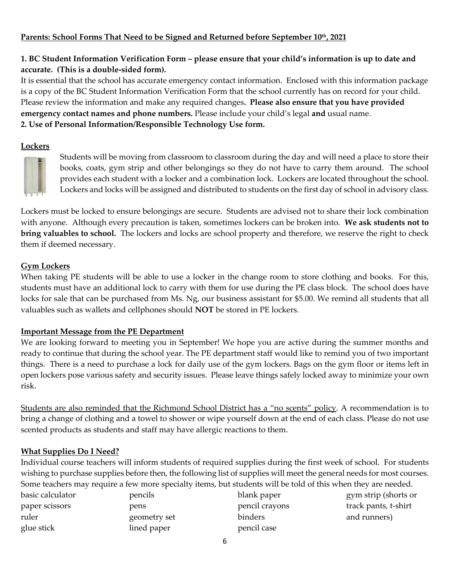## **Parents: School Forms That Need to be Signed and Returned before September 10th, 2021**

## **1. BC Student Information Verification Form – please ensure that your child's information is up to date and accurate. (This is a double-sided form).**

It is essential that the school has accurate emergency contact information. Enclosed with this information package is a copy of the BC Student Information Verification Form that the school currently has on record for your child. Please review the information and make any required changes**. Please also ensure that you have provided emergency contact names and phone numbers.** Please include your child's legal **and** usual name. **2. Use of Personal Information/Responsible Technology Use form.** 

### **Lockers**



Students will be moving from classroom to classroom during the day and will need a place to store their books, coats, gym strip and other belongings so they do not have to carry them around. The school provides each student with a locker and a combination lock. Lockers are located throughout the school. Lockers and locks will be assigned and distributed to students on the first day of school in advisory class.

Lockers must be locked to ensure belongings are secure. Students are advised not to share their lock combination with anyone. Although every precaution is taken, sometimes lockers can be broken into. **We ask students not to bring valuables to school.** The lockers and locks are school property and therefore, we reserve the right to check them if deemed necessary.

## **Gym Lockers**

When taking PE students will be able to use a locker in the change room to store clothing and books. For this, students must have an additional lock to carry with them for use during the PE class block. The school does have locks for sale that can be purchased from Ms. Ng, our business assistant for \$5.00. We remind all students that all valuables such as wallets and cellphones should **NOT** be stored in PE lockers.

## **Important Message from the PE Department**

We are looking forward to meeting you in September! We hope you are active during the summer months and ready to continue that during the school year. The PE department staff would like to remind you of two important things. There is a need to purchase a lock for daily use of the gym lockers. Bags on the gym floor or items left in open lockers pose various safety and security issues. Please leave things safely locked away to minimize your own risk.

Students are also reminded that the Richmond School District has a "no scents" policy. A recommendation is to bring a change of clothing and a towel to shower or wipe yourself down at the end of each class. Please do not use scented products as students and staff may have allergic reactions to them.

## **What Supplies Do I Need?**

Individual course teachers will inform students of required supplies during the first week of school. For students wishing to purchase supplies before then, the following list of supplies will meet the general needs for most courses. Some teachers may require a few more specialty items, but students will be told of this when they are needed.

| basic calculator | pencils      | blank paper    | gym strip (shorts or |
|------------------|--------------|----------------|----------------------|
| paper scissors   | pens         | pencil crayons | track pants, t-shirt |
| ruler            | geometry set | binders        | and runners)         |
| glue stick       | lined paper  | pencil case    |                      |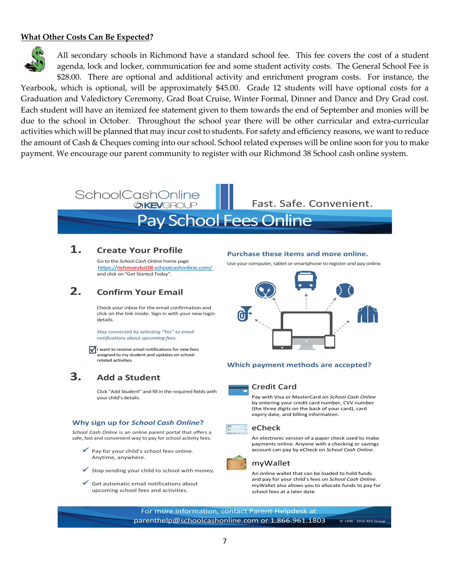### **What Other Costs Can Be Expected?**



All secondary schools in Richmond have a standard school fee. This fee covers the cost of a student agenda, lock and locker, communication fee and some student activity costs. The General School Fee is \$28.00. There are optional and additional activity and enrichment program costs. For instance, the

Yearbook, which is optional, will be approximately \$45.00. Grade 12 students will have optional costs for a Graduation and Valedictory Ceremony, Grad Boat Cruise, Winter Formal, Dinner and Dance and Dry Grad cost. Each student will have an itemized fee statement given to them towards the end of September and monies will be due to the school in October. Throughout the school year there will be other curricular and extra-curricular activities which will be planned that may incur cost to students. For safety and efficiency reasons, we want to reduce the amount of Cash & Cheques coming into our school. School related expenses will be online soon for you to make payment. We encourage our parent community to register with our Richmond 38 School cash online system.

### **SchoolCashOnline** Fast. Safe. Convenient. **OKEVGROUP**

# Pay School Fees Online

## **1. Create Your Profile**

Go to the *School Cash Online* home page .https://richmondsd38.schoolcashonline.com/ and click on "Get Started Today".

## **2. Confirm Your Email**

Check your inbox for the email confirmation and click on the link inside. Sign in with your new login details.

*Stay connected by selecting "Yes" to email notifications about upcoming fees.*

I want to receive email notifications for new fees assigned to my student and updates on schoolrelated activities.

## **3. Add a Student**

Click "Add Student" and fill in the required fields with your child's details.

### **Why sign up for** *School Cash Online***?**

*School Cash Online* is an online parent portal that offers a safe, fast and convenient way to pay for school activity fees.

- Pay for your child's school fees online. Anytime, anywhere.
- $\checkmark$  Stop sending your child to school with money.
- ü Get automatic email notifications about upcoming school fees and activities.

#### **Purchase these items and more online.**

Use your computer, tablet or smartphone to register and pay online.



#### **Which payment methods are accepted?**



#### Credit Card

Pay with Visa or MasterCard on *School Cash Online* by entering your credit card number, CVV number (the three digits on the back of your card), card expiry date, and billing information.



An electronic version of a paper check used to make payments online. Anyone with a checking or savings account can pay by eCheck on *School Cash Online*.

### myWallet

An online wallet that can be loaded to hold funds and pay for your child's fees on *School Cash Online*. myWallet also allows you to allocate funds to pay for school fees at a later date.

For more information, contact Parent Helpdesk at parenthelp@schoolcashonline.com or 1.866.961.1803 © 1996 - 2016 KEV Gro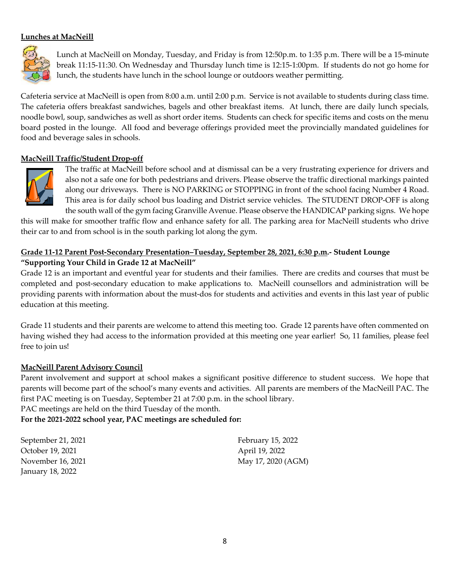### **Lunches at MacNeill**



Lunch at MacNeill on Monday, Tuesday, and Friday is from 12:50p.m. to 1:35 p.m. There will be a 15-minute break 11:15-11:30. On Wednesday and Thursday lunch time is 12:15-1:00pm. If students do not go home for lunch, the students have lunch in the school lounge or outdoors weather permitting.

Cafeteria service at MacNeill is open from 8:00 a.m. until 2:00 p.m. Service is not available to students during class time. The cafeteria offers breakfast sandwiches, bagels and other breakfast items. At lunch, there are daily lunch specials, noodle bowl, soup, sandwiches as well as short order items. Students can check for specific items and costs on the menu board posted in the lounge. All food and beverage offerings provided meet the provincially mandated guidelines for food and beverage sales in schools.

### **MacNeill Traffic/Student Drop-off**



The traffic at MacNeill before school and at dismissal can be a very frustrating experience for drivers and also not a safe one for both pedestrians and drivers. Please observe the traffic directional markings painted along our driveways. There is NO PARKING or STOPPING in front of the school facing Number 4 Road. This area is for daily school bus loading and District service vehicles. The STUDENT DROP-OFF is along the south wall of the gym facing Granville Avenue. Please observe the HANDICAP parking signs. We hope

this will make for smoother traffic flow and enhance safety for all. The parking area for MacNeill students who drive their car to and from school is in the south parking lot along the gym.

### **Grade 11-12 Parent Post-Secondary Presentation–Tuesday, September 28, 2021, 6:30 p.m.- Student Lounge "Supporting Your Child in Grade 12 at MacNeill"**

Grade 12 is an important and eventful year for students and their families. There are credits and courses that must be completed and post-secondary education to make applications to. MacNeill counsellors and administration will be providing parents with information about the must-dos for students and activities and events in this last year of public education at this meeting.

Grade 11 students and their parents are welcome to attend this meeting too. Grade 12 parents have often commented on having wished they had access to the information provided at this meeting one year earlier! So, 11 families, please feel free to join us!

### **MacNeill Parent Advisory Council**

Parent involvement and support at school makes a significant positive difference to student success. We hope that parents will become part of the school's many events and activities. All parents are members of the MacNeill PAC. The first PAC meeting is on Tuesday, September 21 at 7:00 p.m. in the school library.

PAC meetings are held on the third Tuesday of the month.

### **For the 2021-2022 school year, PAC meetings are scheduled for:**

September 21, 2021 October 19, 2021 November 16, 2021 January 18, 2022

February 15, 2022 April 19, 2022 May 17, 2020 (AGM)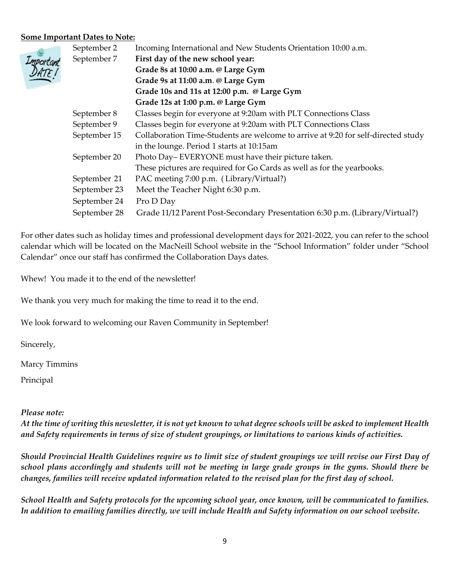### **Some Important Dates to Note:**

|                | September 2  | Incoming International and New Students Orientation 10:00 a.m.                    |  |  |  |  |  |  |  |
|----------------|--------------|-----------------------------------------------------------------------------------|--|--|--|--|--|--|--|
|                | September 7  | First day of the new school year:                                                 |  |  |  |  |  |  |  |
| ortant<br>1TE! |              | Grade 8s at 10:00 a.m. @ Large Gym                                                |  |  |  |  |  |  |  |
|                |              | Grade 9s at 11:00 a.m. @ Large Gym                                                |  |  |  |  |  |  |  |
|                |              | Grade 10s and 11s at 12:00 p.m. @ Large Gym                                       |  |  |  |  |  |  |  |
|                |              | Grade 12s at 1:00 p.m. @ Large Gym                                                |  |  |  |  |  |  |  |
|                | September 8  | Classes begin for everyone at 9:20am with PLT Connections Class                   |  |  |  |  |  |  |  |
|                | September 9  | Classes begin for everyone at 9:20am with PLT Connections Class                   |  |  |  |  |  |  |  |
|                | September 15 | Collaboration Time-Students are welcome to arrive at 9:20 for self-directed study |  |  |  |  |  |  |  |
|                |              | in the lounge. Period 1 starts at 10:15am                                         |  |  |  |  |  |  |  |
|                | September 20 | Photo Day–EVERYONE must have their picture taken.                                 |  |  |  |  |  |  |  |
|                |              | These pictures are required for Go Cards as well as for the yearbooks.            |  |  |  |  |  |  |  |
|                | September 21 | PAC meeting 7:00 p.m. (Library/Virtual?)                                          |  |  |  |  |  |  |  |
|                | September 23 | Meet the Teacher Night 6:30 p.m.                                                  |  |  |  |  |  |  |  |
|                | September 24 | Pro D Day                                                                         |  |  |  |  |  |  |  |
|                | September 28 | Grade 11/12 Parent Post-Secondary Presentation 6:30 p.m. (Library/Virtual?)       |  |  |  |  |  |  |  |

For other dates such as holiday times and professional development days for 2021-2022, you can refer to the school calendar which will be located on the MacNeill School website in the "School Information" folder under "School Calendar" once our staff has confirmed the Collaboration Days dates.

Whew! You made it to the end of the newsletter!

We thank you very much for making the time to read it to the end.

We look forward to welcoming our Raven Community in September!

Sincerely,

Marcy Timmins

Principal

### *Please note:*

*At the time of writing this newsletter, it is not yet known to what degree schools will be asked to implement Health and Safety requirements in terms of size of student groupings, or limitations to various kinds of activities.*

*Should Provincial Health Guidelines require us to limit size of student groupings we will revise our First Day of school plans accordingly and students will not be meeting in large grade groups in the gyms. Should there be changes, families will receive updated information related to the revised plan for the first day of school.*

*School Health and Safety protocols for the upcoming school year, once known, will be communicated to families. In addition to emailing families directly, we will include Health and Safety information on our school website.*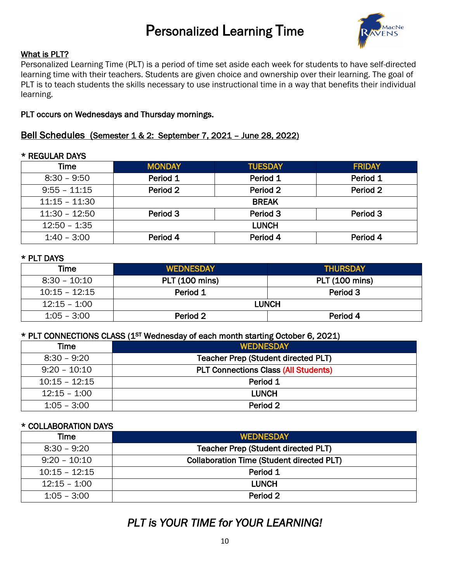# Personalized Learning Time



## What is PLT?

Personalized Learning Time (PLT) is a period of time set aside each week for students to have self-directed learning time with their teachers. Students are given choice and ownership over their learning. The goal of PLT is to teach students the skills necessary to use instructional time in a way that benefits their individual learning.

## PLT occurs on Wednesdays and Thursday mornings.

## Bell Schedules (Semester 1 & 2: September 7, 2021 – June 28, 2022)

### \* REGULAR DAYS

| Time            | <b>MONDAY</b> | <b>TUESDAY</b> | <b>FRIDAY</b> |  |  |  |  |  |  |  |
|-----------------|---------------|----------------|---------------|--|--|--|--|--|--|--|
| $8:30 - 9:50$   | Period 1      | Period 1       | Period 1      |  |  |  |  |  |  |  |
| $9:55 - 11:15$  | Period 2      | Period 2       | Period 2      |  |  |  |  |  |  |  |
| $11:15 - 11:30$ | <b>BREAK</b>  |                |               |  |  |  |  |  |  |  |
| $11:30 - 12:50$ | Period 3      | Period 3       | Period 3      |  |  |  |  |  |  |  |
| $12:50 - 1:35$  |               | <b>LUNCH</b>   |               |  |  |  |  |  |  |  |
| $1:40 - 3:00$   | Period 4      | Period 4       | Period 4      |  |  |  |  |  |  |  |

### \* PLT DAYS

| Time            | <b>WEDNESDAY</b>      | <b>THURSDAY</b>       |
|-----------------|-----------------------|-----------------------|
| $8:30 - 10:10$  | <b>PLT (100 mins)</b> | <b>PLT (100 mins)</b> |
| $10:15 - 12:15$ | Period 1              | Period 3              |
| 12:15 - 1:00    |                       | <b>LUNCH</b>          |
| $1:05 - 3:00$   | Period 2              | Period 4              |

### \* PLT CONNECTIONS CLASS (1ST Wednesday of each month starting October 6, 2021)

| Time            | <b>WEDNESDAY</b>                            |
|-----------------|---------------------------------------------|
| $8:30 - 9:20$   | Teacher Prep (Student directed PLT)         |
| $9:20 - 10:10$  | <b>PLT Connections Class (All Students)</b> |
| $10:15 - 12:15$ | Period 1                                    |
| $12:15 - 1:00$  | <b>LUNCH</b>                                |
| $1:05 - 3:00$   | Period 2                                    |

### \* COLLABORATION DAYS

| <b>Time</b>     | <b>WEDNESDAY</b>                                 |
|-----------------|--------------------------------------------------|
| $8:30 - 9:20$   | Teacher Prep (Student directed PLT)              |
| $9:20 - 10:10$  | <b>Collaboration Time (Student directed PLT)</b> |
| $10:15 - 12:15$ | Period 1                                         |
| $12:15 - 1:00$  | <b>LUNCH</b>                                     |
| $1:05 - 3:00$   | Period 2                                         |

## *PLT is YOUR TIME for YOUR LEARNING!*